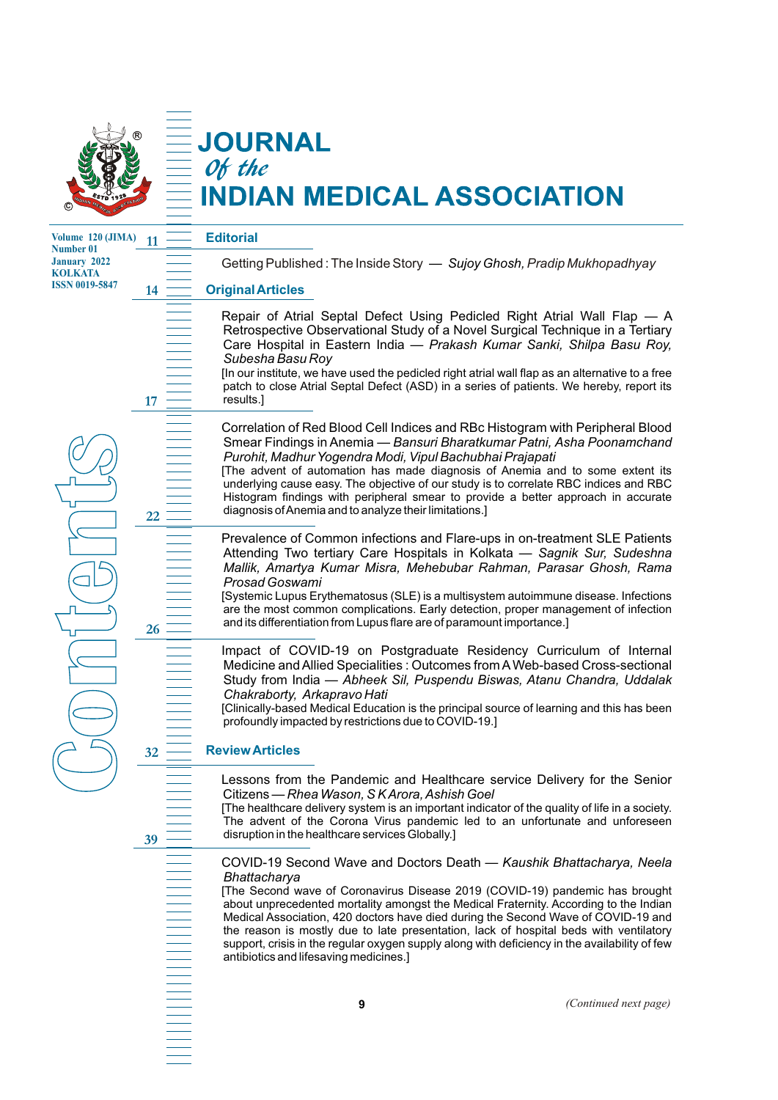

**11**

**14**

**17**

**22**

**26**

# **JOURNAL** Of the **NDIAN MEDICAL ASSOCIATION**

**Volume 120 (JIMA) Number 01 January 2022 KOLKATA ISSN 0019-5847**

#### **Editorial**

Getting Published: The Inside Story *— Sujoy Ghosh, Pradip Mukhopadhyay* 

### **Original Articles**

Repair of Atrial Septal Defect Using Pedicled Right Atrial Wall Flap — A Retrospective Observational Study of a Novel Surgical Technique in a Tertiary Care Hospital in Eastern India — *Prakash Kumar Sanki, Shilpa Basu Roy, Subesha Basu Roy*

[In our institute, we have used the pedicled right atrial wall flap as an alternative to a free patch to close Atrial Septal Defect (ASD) in a series of patients. We hereby, report its results.]

Correlation of Red Blood Cell Indices and RBc Histogram with Peripheral Blood Smear Findings in Anemia — *Bansuri Bharatkumar Patni, Asha Poonamchand Purohit, Madhur Yogendra Modi, Vipul Bachubhai Prajapati*

[The advent of automation has made diagnosis of Anemia and to some extent its underlying cause easy. The objective of our study is to correlate RBC indices and RBC Histogram findings with peripheral smear to provide a better approach in accurate diagnosis of Anemia and to analyze their limitations.]

Prevalence of Common infections and Flare-ups in on-treatment SLE Patients Attending Two tertiary Care Hospitals in Kolkata — *Sagnik Sur, Sudeshna Mallik, Amartya Kumar Misra, Mehebubar Rahman, Parasar Ghosh, Rama Prosad Goswami*

[Systemic Lupus Erythematosus (SLE) is a multisystem autoimmune disease. Infections are the most common complications. Early detection, proper management of infection and its differentiation from Lupus flare are of paramount importance.]

Impact of COVID-19 on Postgraduate Residency Curriculum of Internal Medicine and Allied Specialities : Outcomes from AWeb-based Cross-sectional Study from India — *Abheek Sil, Puspendu Biswas, Atanu Chandra, Uddalak Chakraborty, Arkapravo Hati*

[Clinically-based Medical Education is the principal source of learning and this has been profoundly impacted by restrictions due to COVID-19.]

#### **Review Articles 32**

Lessons from the Pandemic and Healthcare service Delivery for the Senior Citizens — *Rhea Wason, S K Arora, Ashish Goel*

[The healthcare delivery system is an important indicator of the quality of life in a society. The advent of the Corona Virus pandemic led to an unfortunate and unforeseen disruption in the healthcare services Globally.]

**39**

**C**

**o**

**n** 

**t**<br> **t**<br> **t**<br> **t**<br> **t**<br> **t**<br> **d**<br> **d** 

**e**

**n** 

**t**<br> **t** 

**s**

COVID-19 Second Wave and Doctors Death — *Kaushik Bhattacharya, Neela Bhattacharya*

[The Second wave of Coronavirus Disease 2019 (COVID-19) pandemic has brought about unprecedented mortality amongst the Medical Fraternity. According to the Indian Medical Association, 420 doctors have died during the Second Wave of COVID-19 and the reason is mostly due to late presentation, lack of hospital beds with ventilatory support, crisis in the regular oxygen supply along with deficiency in the availability of few antibiotics and lifesaving medicines.]